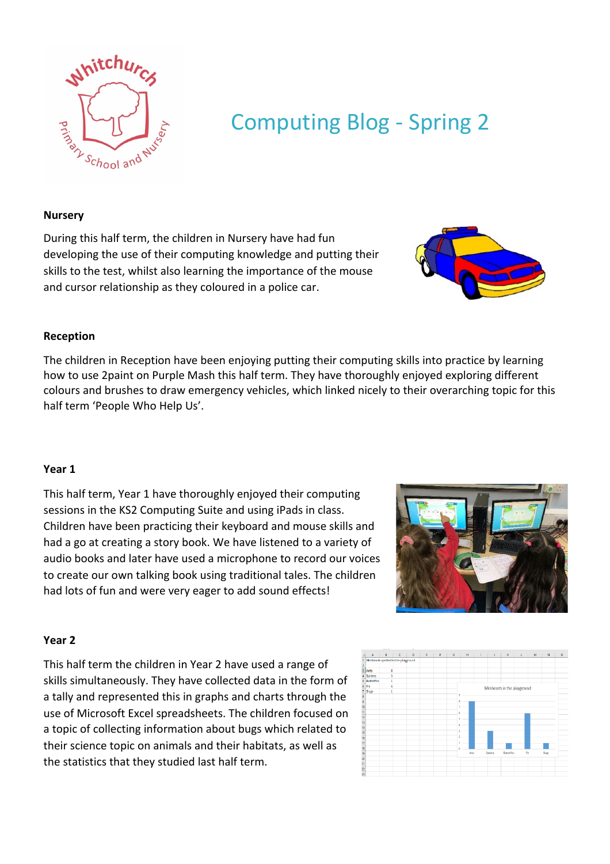

# Computing Blog - Spring 2

#### **Nursery**

During this half term, the children in Nursery have had fun developing the use of their computing knowledge and putting their skills to the test, whilst also learning the importance of the mouse and cursor relationship as they coloured in a police car.

# **Reception**

The children in Reception have been enjoying putting their computing skills into practice by learning how to use 2paint on Purple Mash this half term. They have thoroughly enjoyed exploring different colours and brushes to draw emergency vehicles, which linked nicely to their overarching topic for this half term 'People Who Help Us'.

# **Year 1**

This half term, Year 1 have thoroughly enjoyed their computing sessions in the KS2 Computing Suite and using iPads in class. Children have been practicing their keyboard and mouse skills and had a go at creating a story book. We have listened to a variety of audio books and later have used a microphone to record our voices to create our own talking book using traditional tales. The children had lots of fun and were very eager to add sound effects!

# **Year 2**

This half term the children in Year 2 have used a range of skills simultaneously. They have collected data in the form of a tally and represented this in graphs and charts through the use of Microsoft Excel spreadsheets. The children focused on a topic of collecting information about bugs which related to their science topic on animals and their habitats, as well as the statistics that they studied last half term.